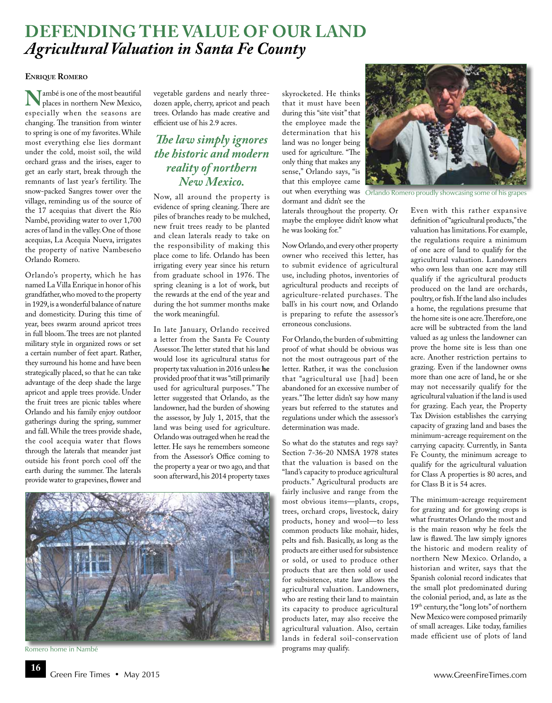# **Defending the Value of Our Land**  *Agricultural Valuation in Santa Fe County*

### **Enrique Romero**

**N**<br>**EXECUTE IS ONEXE IS ONEXE IS PLACE IS PROX**<br>**EXPRESSION:** When the seasons are places in northern New Mexico, especially when the seasons are changing. The transition from winter to spring is one of my favorites. While most everything else lies dormant under the cold, moist soil, the wild orchard grass and the irises, eager to get an early start, break through the remnants of last year's fertility. The snow-packed Sangres tower over the village, reminding us of the source of the 17 acequias that divert the Río Nambé, providing water to over 1,700 acres of land in the valley. One of those acequias, La Acequia Nueva, irrigates the property of native Nambeseño Orlando Romero.

Orlando's property, which he has named La Villa Enrique in honor of his grandfather, who moved to the property in 1929, is a wonderful balance of nature and domesticity. During this time of year, bees swarm around apricot trees in full bloom. The trees are not planted military style in organized rows or set a certain number of feet apart. Rather, they surround his home and have been strategically placed, so that he can take advantage of the deep shade the large apricot and apple trees provide. Under the fruit trees are picnic tables where Orlando and his family enjoy outdoor gatherings during the spring, summer and fall. While the trees provide shade, the cool acequia water that flows through the laterals that meander just outside his front porch cool off the earth during the summer. The laterals provide water to grapevines, flower and

vegetable gardens and nearly threedozen apple, cherry, apricot and peach trees. Orlando has made creative and efficient use of his 2.9 acres.

## *The law simply ignores the historic and modern reality of northern New Mexico.*

Now, all around the property is evidence of spring cleaning. There are piles of branches ready to be mulched, new fruit trees ready to be planted and clean laterals ready to take on the responsibility of making this place come to life. Orlando has been irrigating every year since his return from graduate school in 1976. The spring cleaning is a lot of work, but the rewards at the end of the year and during the hot summer months make the work meaningful.

In late January, Orlando received a letter from the Santa Fe County Assessor. The letter stated that his land would lose its agricultural status for property tax valuation in 2016 unless **he** provided proof that it was "still primarily used for agricultural purposes." The letter suggested that Orlando, as the landowner, had the burden of showing the assessor, by July 1, 2015, that the land was being used for agriculture. Orlando was outraged when he read the letter. He says he remembers someone from the Assessor's Office coming to the property a year or two ago, and that soon afterward, his 2014 property taxes



Romero home in Nambé

**16**



out when everything was Orlando Romero proudly showcasing some of his grapes dormant and didn't see the

laterals throughout the property. Or maybe the employee didn't know what he was looking for."

Now Orlando, and every other property owner who received this letter, has to submit evidence of agricultural use, including photos, inventories of agricultural products and receipts of agriculture-related purchases. The ball's in his court now, and Orlando is preparing to refute the assessor's erroneous conclusions.

For Orlando, the burden of submitting proof of what should be obvious was not the most outrageous part of the letter. Rather, it was the conclusion that "agricultural use [had] been abandoned for an excessive number of years." The letter didn't say how many years but referred to the statutes and regulations under which the assessor's determination was made.

So what do the statutes and regs say? Section 7-36-20 NMSA 1978 states that the valuation is based on the "land's capacity to produce agricultural products." Agricultural products are fairly inclusive and range from the most obvious items—plants, crops, trees, orchard crops, livestock, dairy products, honey and wool—to less common products like mohair, hides, pelts and fish. Basically, as long as the products are either used for subsistence or sold, or used to produce other products that are then sold or used for subsistence, state law allows the agricultural valuation. Landowners, who are resting their land to maintain its capacity to produce agricultural products later, may also receive the agricultural valuation. Also, certain lands in federal soil-conservation programs may qualify.

Even with this rather expansive definition of "agricultural products," the valuation has limitations. For example, the regulations require a minimum of one acre of land to qualify for the agricultural valuation. Landowners who own less than one acre may still qualify if the agricultural products produced on the land are orchards, poultry, or fish. If the land also includes a home, the regulations presume that the home site is one acre. Therefore, one acre will be subtracted from the land valued as ag unless the landowner can prove the home site is less than one acre. Another restriction pertains to grazing. Even if the landowner owns more than one acre of land, he or she may not necessarily qualify for the agricultural valuation if the land is used for grazing. Each year, the Property Tax Division establishes the carrying capacity of grazing land and bases the minimum-acreage requirement on the carrying capacity. Currently, in Santa Fe County, the minimum acreage to qualify for the agricultural valuation for Class A properties is 80 acres, and for Class B it is 54 acres.

The minimum-acreage requirement for grazing and for growing crops is what frustrates Orlando the most and is the main reason why he feels the law is flawed. The law simply ignores the historic and modern reality of northern New Mexico. Orlando, a historian and writer, says that the Spanish colonial record indicates that the small plot predominated during the colonial period, and, as late as the 19th century, the "long lots" of northern New Mexico were composed primarily of small acreages. Like today, families made efficient use of plots of land